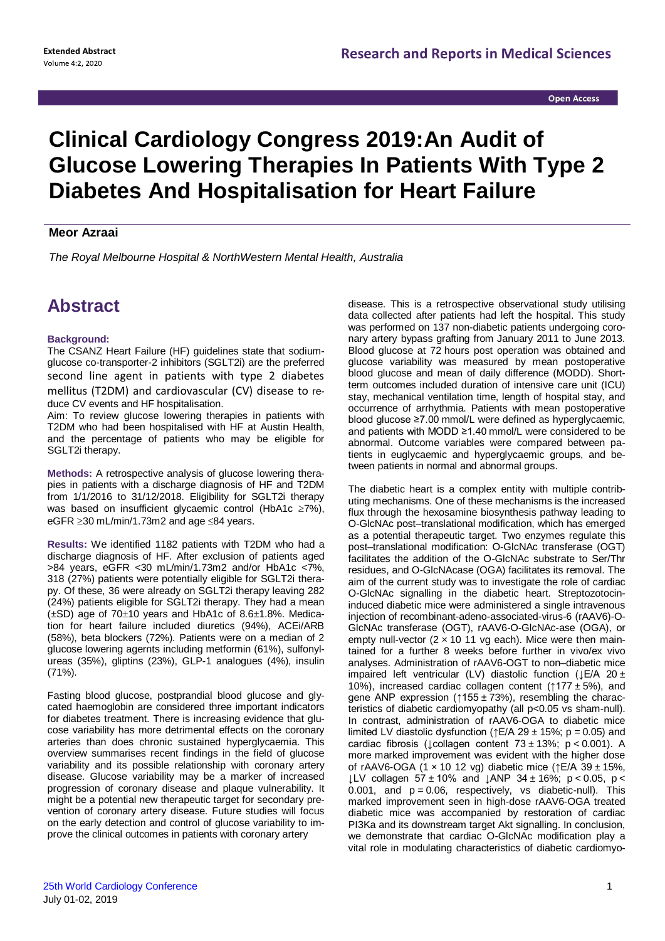## **Clinical Cardiology Congress 2019:An Audit of Glucose Lowering Therapies In Patients With Type 2 Diabetes And Hospitalisation for Heart Failure**

## **Meor Azraai**

*The Royal Melbourne Hospital & NorthWestern Mental Health, Australia*

## **Abstract**

## **Background:**

The CSANZ Heart Failure (HF) guidelines state that sodiumglucose co-transporter-2 inhibitors (SGLT2i) are the preferred second line agent in patients with type 2 diabetes mellitus (T2DM) and cardiovascular (CV) disease to reduce CV events and HF hospitalisation.

Aim: To review glucose lowering therapies in patients with T2DM who had been hospitalised with HF at Austin Health, and the percentage of patients who may be eligible for SGLT2i therapy.

**Methods:** A retrospective analysis of glucose lowering therapies in patients with a discharge diagnosis of HF and T2DM from 1/1/2016 to 31/12/2018. Eligibility for SGLT2i therapy was based on insufficient glycaemic control (HbA1c  $\geq$ 7%), eGFR  $\geq$ 30 mL/min/1.73m2 and age  $\leq$ 84 years.

**Results:** We identified 1182 patients with T2DM who had a discharge diagnosis of HF. After exclusion of patients aged >84 years, eGFR <30 mL/min/1.73m2 and/or HbA1c <7%, 318 (27%) patients were potentially eligible for SGLT2i therapy. Of these, 36 were already on SGLT2i therapy leaving 282 (24%) patients eligible for SGLT2i therapy. They had a mean  $(\pm SD)$  age of 70 $\pm$ 10 years and HbA1c of 8.6 $\pm$ 1.8%. Medication for heart failure included diuretics (94%), ACEi/ARB (58%), beta blockers (72%). Patients were on a median of 2 glucose lowering agernts including metformin (61%), sulfonylureas (35%), gliptins (23%), GLP-1 analogues (4%), insulin (71%).

Fasting blood glucose, postprandial blood glucose and glycated haemoglobin are considered three important indicators for diabetes treatment. There is increasing evidence that glucose variability has more detrimental effects on the coronary arteries than does chronic sustained hyperglycaemia. This overview summarises recent findings in the field of glucose variability and its possible relationship with coronary artery disease. Glucose variability may be a marker of increased progression of coronary disease and plaque vulnerability. It might be a potential new therapeutic target for secondary prevention of coronary artery disease. Future studies will focus on the early detection and control of glucose variability to improve the clinical outcomes in patients with coronary artery

disease. This is a retrospective observational study utilising data collected after patients had left the hospital. This study was performed on 137 non-diabetic patients undergoing coronary artery bypass grafting from January 2011 to June 2013. Blood glucose at 72 hours post operation was obtained and glucose variability was measured by mean postoperative blood glucose and mean of daily difference (MODD). Shortterm outcomes included duration of intensive care unit (ICU) stay, mechanical ventilation time, length of hospital stay, and occurrence of arrhythmia. Patients with mean postoperative blood glucose ≥7.00 mmol/L were defined as hyperglycaemic, and patients with MODD ≥1.40 mmol/L were considered to be abnormal. Outcome variables were compared between patients in euglycaemic and hyperglycaemic groups, and between patients in normal and abnormal groups.

The diabetic heart is a complex entity with multiple contributing mechanisms. One of these mechanisms is the increased flux through the hexosamine biosynthesis pathway leading to O-GlcNAc post–translational modification, which has emerged as a potential therapeutic target. Two enzymes regulate this post–translational modification: O-GlcNAc transferase (OGT) facilitates the addition of the O-GlcNAc substrate to Ser/Thr residues, and O-GlcNAcase (OGA) facilitates its removal. The aim of the current study was to investigate the role of cardiac O-GlcNAc signalling in the diabetic heart. Streptozotocininduced diabetic mice were administered a single intravenous injection of recombinant-adeno-associated-virus-6 (rAAV6)-O-GlcNAc transferase (OGT), rAAV6-O-GlcNAc-ase (OGA), or empty null-vector  $(2 \times 1011)$  vg each). Mice were then maintained for a further 8 weeks before further in vivo/ex vivo analyses. Administration of rAAV6-OGT to non–diabetic mice impaired left ventricular (LV) diastolic function ( $\pm$ E/A 20  $\pm$ 10%), increased cardiac collagen content ( $\uparrow$ 177 ± 5%), and gene ANP expression ( $\uparrow$ 155 ± 73%), resembling the characteristics of diabetic cardiomyopathy (all p<0.05 vs sham-null). In contrast, administration of rAAV6-OGA to diabetic mice limited LV diastolic dysfunction ( $\uparrow$ E/A 29 ± 15%; p = 0.05) and cardiac fibrosis ( $\text{L}$ collagen content 73 ± 13%; p < 0.001). A more marked improvement was evident with the higher dose of rAAV6-OGA (1 x 10 12 vg) diabetic mice ( $\uparrow$ E/A 39 ± 15%, ↓LV collagen 57 ± 10% and ↓ANP 34 ± 16%; p < 0.05, p <  $0.001$ , and  $p = 0.06$ , respectively, vs diabetic-null). This marked improvement seen in high-dose rAAV6-OGA treated diabetic mice was accompanied by restoration of cardiac PI3Ka and its downstream target Akt signalling. In conclusion, we demonstrate that cardiac O-GlcNAc modification play a vital role in modulating characteristics of diabetic cardiomyo